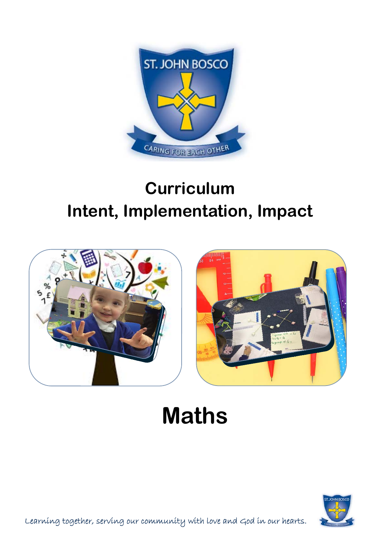

# **Curriculum Intent, Implementation, Impact**



# **Maths**

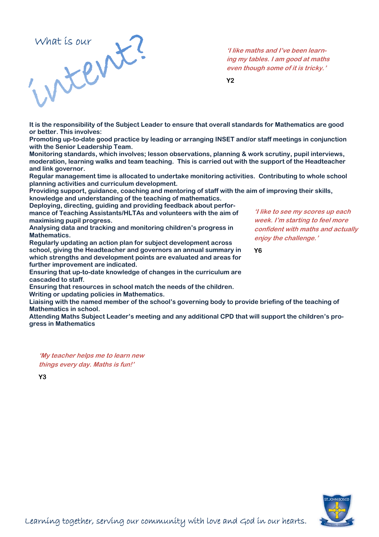

**'I like maths and I've been learning my tables. I am good at maths even though some of it is tricky.'** 

**Y2** 

**It is the responsibility of the Subject Leader to ensure that overall standards for Mathematics are good or better. This involves:** 

**Promoting up-to-date good practice by leading or arranging INSET and/or staff meetings in conjunction with the Senior Leadership Team.** 

**Monitoring standards, which involves; lesson observations, planning & work scrutiny, pupil interviews, moderation, learning walks and team teaching. This is carried out with the support of the Headteacher and link governor.** 

**Regular management time is allocated to undertake monitoring activities. Contributing to whole school planning activities and curriculum development.** 

**Providing support, guidance, coaching and mentoring of staff with the aim of improving their skills, knowledge and understanding of the teaching of mathematics.** 

**Deploying, directing, guiding and providing feedback about performance of Teaching Assistants/HLTAs and volunteers with the aim of maximising pupil progress.** 

**Analysing data and tracking and monitoring children's progress in Mathematics.** 

**Regularly updating an action plan for subject development across school, giving the Headteacher and governors an annual summary in which strengths and development points are evaluated and areas for further improvement are indicated.** 

**Ensuring that up-to-date knowledge of changes in the curriculum are cascaded to staff.** 

**Ensuring that resources in school match the needs of the children. Writing or updating policies in Mathematics.** 

**Liaising with the named member of the school's governing body to provide briefing of the teaching of Mathematics in school.** 

**Attending Maths Subject Leader's meeting and any additional CPD that will support the children's progress in Mathematics** 

**'My teacher helps me to learn new things every day. Maths is fun!'**

**Y3** 

**'I like to see my scores up each week. I'm starting to feel more confident with maths and actually enjoy the challenge.'**

**Y6** 

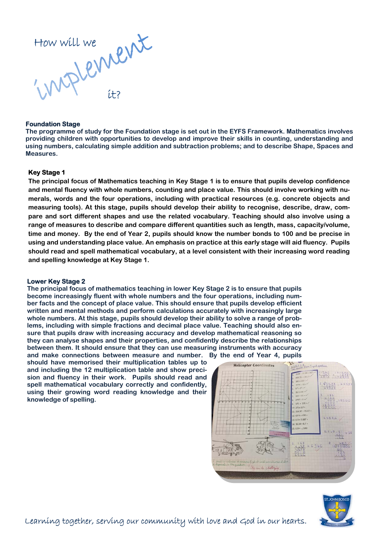

#### **Foundation Stage**

**The programme of study for the Foundation stage is set out in the EYFS Framework. Mathematics involves providing children with opportunities to develop and improve their skills in counting, understanding and using numbers, calculating simple addition and subtraction problems; and to describe Shape, Spaces and Measures.** 

### **Key Stage 1**

**The principal focus of Mathematics teaching in Key Stage 1 is to ensure that pupils develop confidence and mental fluency with whole numbers, counting and place value. This should involve working with numerals, words and the four operations, including with practical resources (e.g. concrete objects and measuring tools). At this stage, pupils should develop their ability to recognise, describe, draw, compare and sort different shapes and use the related vocabulary. Teaching should also involve using a range of measures to describe and compare different quantities such as length, mass, capacity/volume, time and money. By the end of Year 2, pupils should know the number bonds to 100 and be precise in using and understanding place value. An emphasis on practice at this early stage will aid fluency. Pupils should read and spell mathematical vocabulary, at a level consistent with their increasing word reading and spelling knowledge at Key Stage 1.** 

### **Lower Key Stage 2**

**The principal focus of mathematics teaching in lower Key Stage 2 is to ensure that pupils become increasingly fluent with whole numbers and the four operations, including number facts and the concept of place value. This should ensure that pupils develop efficient written and mental methods and perform calculations accurately with increasingly large whole numbers. At this stage, pupils should develop their ability to solve a range of problems, including with simple fractions and decimal place value. Teaching should also ensure that pupils draw with increasing accuracy and develop mathematical reasoning so they can analyse shapes and their properties, and confidently describe the relationships between them. It should ensure that they can use measuring instruments with accuracy and make connections between measure and number. By the end of Year 4, pupils** 

**should have memorised their multiplication tables up to and including the 12 multiplication table and show precision and fluency in their work. Pupils should read and spell mathematical vocabulary correctly and confidently, using their growing word reading knowledge and their knowledge of spelling.** 



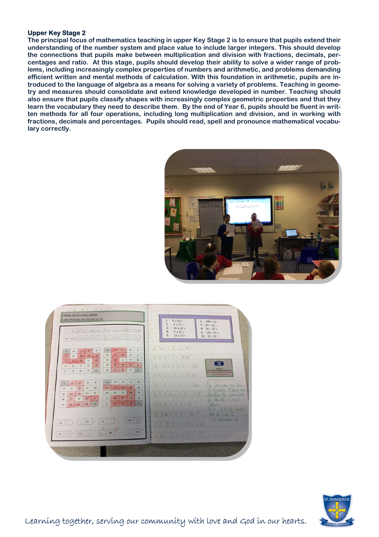## **Upper Key Stage 2**

**The principal focus of mathematics teaching in upper Key Stage 2 is to ensure that pupils extend their understanding of the number system and place value to include larger integers. This should develop the connections that pupils make between multiplication and division with fractions, decimals, percentages and ratio. At this stage, pupils should develop their ability to solve a wider range of problems, including increasingly complex properties of numbers and arithmetic, and problems demanding efficient written and mental methods of calculation. With this foundation in arithmetic, pupils are introduced to the language of algebra as a means for solving a variety of problems. Teaching in geometry and measures should consolidate and extend knowledge developed in number. Teaching should also ensure that pupils classify shapes with increasingly complex geometric properties and that they learn the vocabulary they need to describe them. By the end of Year 6, pupils should be fluent in written methods for all four operations, including long multiplication and division, and in working with fractions, decimals and percentages. Pupils should read, spell and pronounce mathematical vocabulary correctly.**